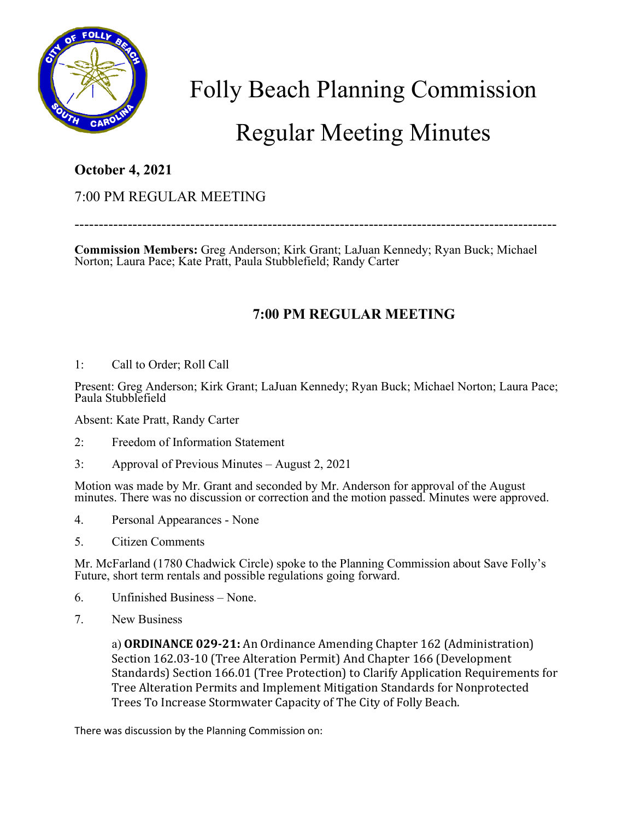

Folly Beach Planning Commission

## Regular Meeting Minutes

## **October 4, 2021**

## 7:00 PM REGULAR MEETING

----------------------------------------------------------------------------------------------------

**Commission Members:** Greg Anderson; Kirk Grant; LaJuan Kennedy; Ryan Buck; Michael Norton; Laura Pace; Kate Pratt, Paula Stubblefield; Randy Carter

## **7:00 PM REGULAR MEETING**

1: Call to Order; Roll Call

Present: Greg Anderson; Kirk Grant; LaJuan Kennedy; Ryan Buck; Michael Norton; Laura Pace; Paula Stubblefield

Absent: Kate Pratt, Randy Carter

- 2: Freedom of Information Statement
- 3: Approval of Previous Minutes August 2, 2021

Motion was made by Mr. Grant and seconded by Mr. Anderson for approval of the August minutes. There was no discussion or correction and the motion passed. Minutes were approved.

- 4. Personal Appearances None
- 5. Citizen Comments

Mr. McFarland (1780 Chadwick Circle) spoke to the Planning Commission about Save Folly's Future, short term rentals and possible regulations going forward.

- 6. Unfinished Business None.
- 7. New Business

a) **ORDINANCE 029-21:** An Ordinance Amending Chapter 162 (Administration) Section 162.03-10 (Tree Alteration Permit) And Chapter 166 (Development Standards) Section 166.01 (Tree Protection) to Clarify Application Requirements for Tree Alteration Permits and Implement Mitigation Standards for Nonprotected Trees To Increase Stormwater Capacity of The City of Folly Beach.

There was discussion by the Planning Commission on: